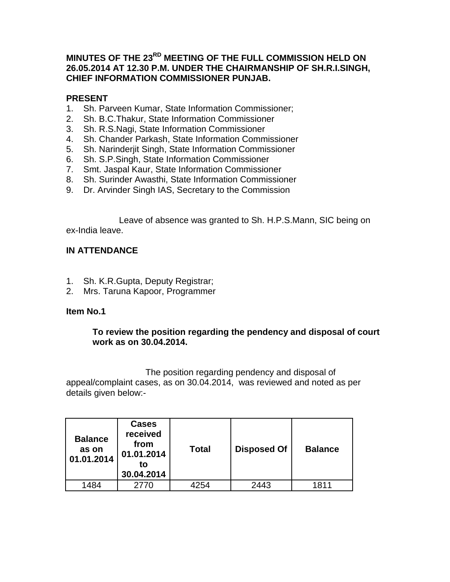# **MINUTES OF THE 23RD MEETING OF THE FULL COMMISSION HELD ON 26.05.2014 AT 12.30 P.M. UNDER THE CHAIRMANSHIP OF SH.R.I.SINGH, CHIEF INFORMATION COMMISSIONER PUNJAB.**

## **PRESENT**

- 1. Sh. Parveen Kumar, State Information Commissioner;
- 2. Sh. B.C.Thakur, State Information Commissioner
- 3. Sh. R.S.Nagi, State Information Commissioner
- 4. Sh. Chander Parkash, State Information Commissioner
- 5. Sh. Narinderjit Singh, State Information Commissioner
- 6. Sh. S.P.Singh, State Information Commissioner
- 7. Smt. Jaspal Kaur, State Information Commissioner
- 8. Sh. Surinder Awasthi, State Information Commissioner
- 9. Dr. Arvinder Singh IAS, Secretary to the Commission

Leave of absence was granted to Sh. H.P.S.Mann, SIC being on ex-India leave.

## **IN ATTENDANCE**

- 1. Sh. K.R.Gupta, Deputy Registrar;
- 2. Mrs. Taruna Kapoor, Programmer

### **Item No.1**

### **To review the position regarding the pendency and disposal of court work as on 30.04.2014.**

The position regarding pendency and disposal of appeal/complaint cases, as on 30.04.2014, was reviewed and noted as per details given below:-

| <b>Balance</b><br>as on<br>01.01.2014 | <b>Cases</b><br>received<br>from<br>01.01.2014<br>to<br>30.04.2014 | Total | <b>Disposed Of</b> | <b>Balance</b> |
|---------------------------------------|--------------------------------------------------------------------|-------|--------------------|----------------|
| 1484                                  | 2770                                                               | 4254  | 2443               | 1811           |